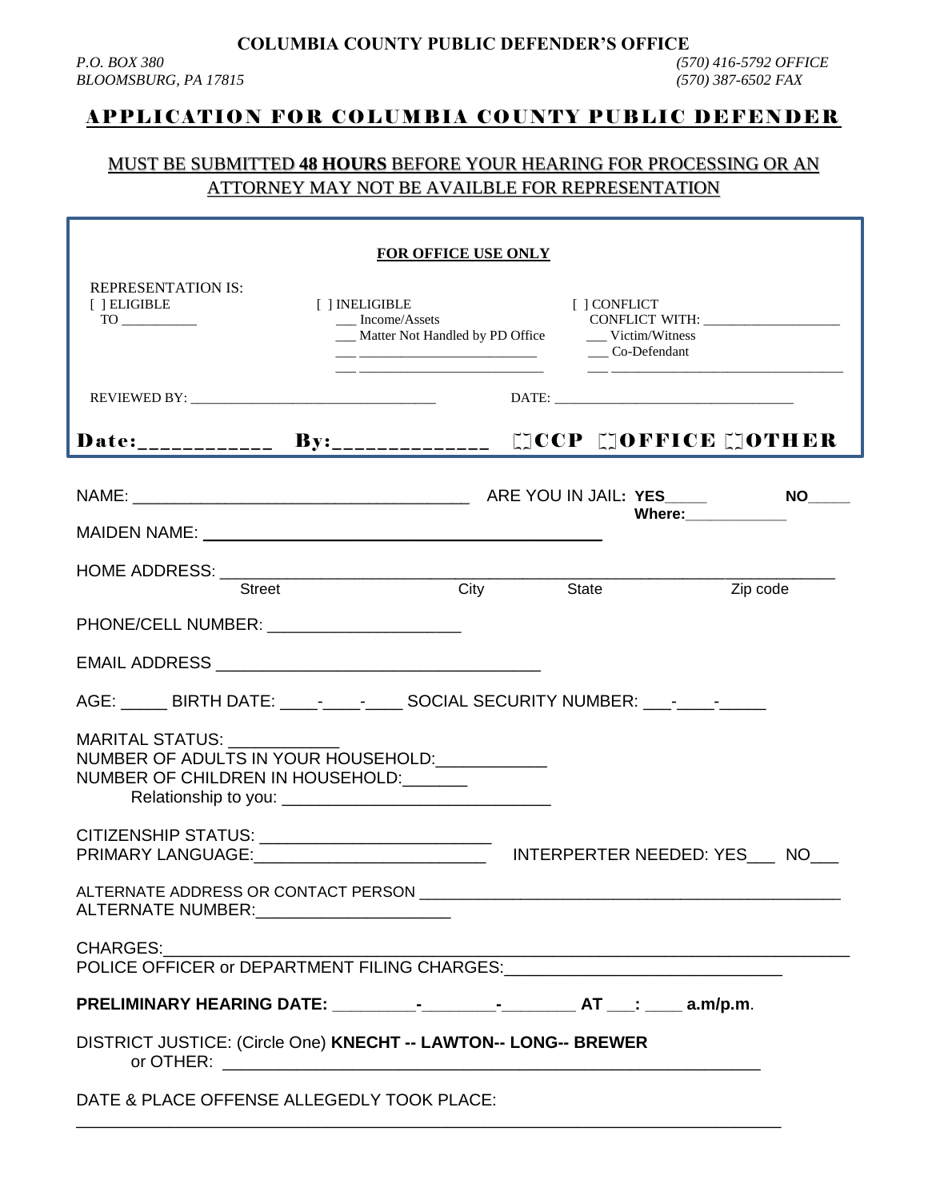**COLUMBIA COUNTY PUBLIC DEFENDER'S OFFICE**

## APPLICATION FOR COLUMBIA COUNTY PUBLIC DEFENDER

## MUST BE SUBMITTED **48 HOURS** BEFORE YOUR HEARING FOR PROCESSING OR AN ATTORNEY MAY NOT BE AVAILBLE FOR REPRESENTATION

| <b>REPRESENTATION IS:</b><br>[ ] ELIGIBLE<br>[ ] INELIGIBLE                                          | FOR OFFICE USE ONLY | [ ] CONFLICT<br>__ Co-Defendant |                      |  |  |  |
|------------------------------------------------------------------------------------------------------|---------------------|---------------------------------|----------------------|--|--|--|
|                                                                                                      |                     |                                 |                      |  |  |  |
|                                                                                                      |                     |                                 |                      |  |  |  |
|                                                                                                      |                     |                                 | Where: _____________ |  |  |  |
| <b>Street</b>                                                                                        | City State          |                                 | Zip code             |  |  |  |
| PHONE/CELL NUMBER: University PHONE/CELL NUMBER:                                                     |                     |                                 |                      |  |  |  |
|                                                                                                      |                     |                                 |                      |  |  |  |
| AGE: _____ BIRTH DATE: ____-____-_____ SOCIAL SECURITY NUMBER: ___-____-_______                      |                     |                                 |                      |  |  |  |
| MARITAL STATUS: _________<br>NUMBER OF ADULTS IN YOUR HOUSEHOLD:<br>NUMBER OF CHILDREN IN HOUSEHOLD: |                     |                                 |                      |  |  |  |
|                                                                                                      |                     |                                 |                      |  |  |  |
| ALTERNATE NUMBER:                                                                                    |                     |                                 |                      |  |  |  |
| CHARGES:                                                                                             |                     |                                 |                      |  |  |  |
|                                                                                                      |                     |                                 |                      |  |  |  |
| DISTRICT JUSTICE: (Circle One) KNECHT -- LAWTON-- LONG-- BREWER                                      |                     |                                 |                      |  |  |  |
| DATE & PLACE OFFENSE ALLEGEDLY TOOK PLACE:                                                           |                     |                                 |                      |  |  |  |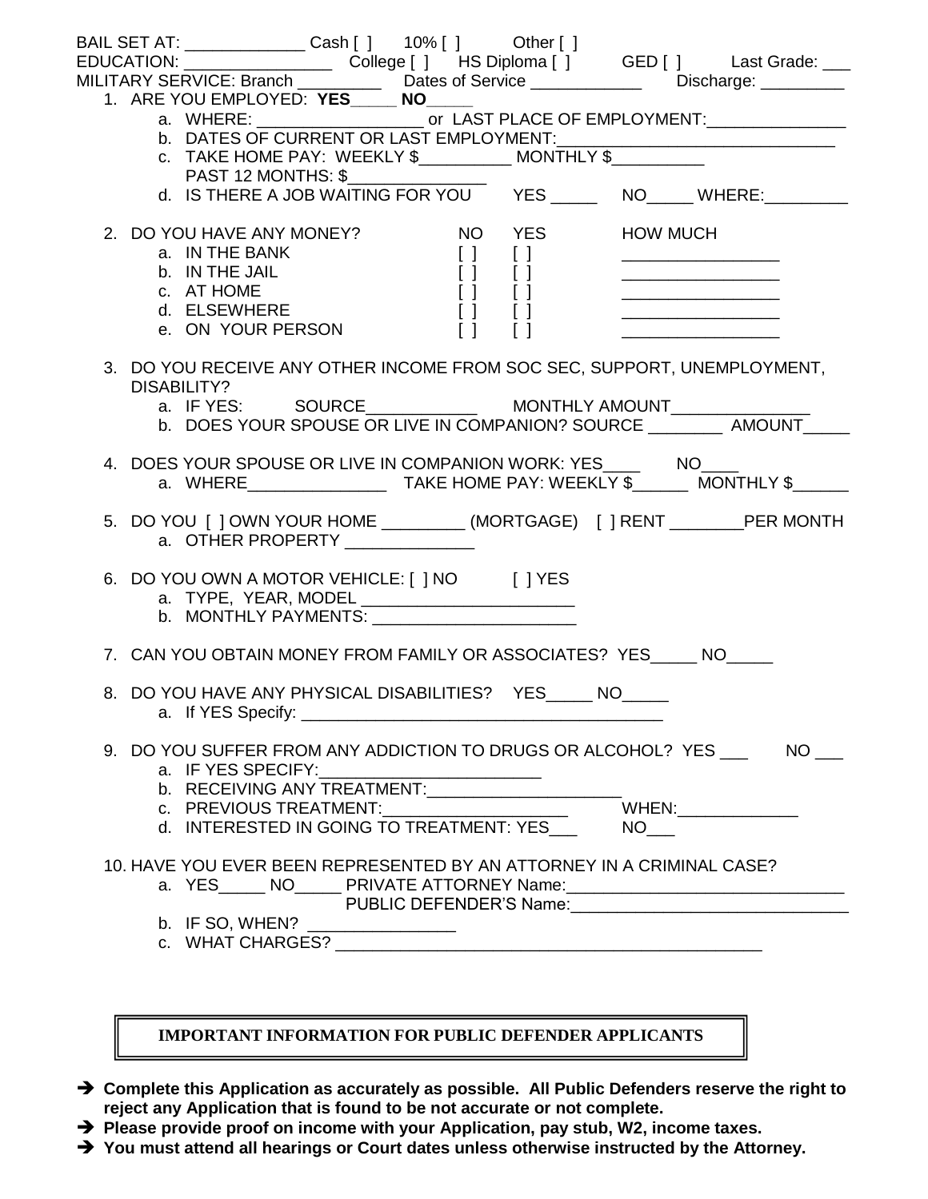|  | BAIL SET AT: _______________ Cash [ ]   10% [ ]    Other [ ]<br>EDUCATION: _____________________College [ ] HS Diploma [ ] GED [ ] Last Grade: ___<br>MILITARY SERVICE: Branch ______________Dates of Service _________________Discharge: __________                                                                                                                                                                                                                                             |                                                                                |  |
|--|--------------------------------------------------------------------------------------------------------------------------------------------------------------------------------------------------------------------------------------------------------------------------------------------------------------------------------------------------------------------------------------------------------------------------------------------------------------------------------------------------|--------------------------------------------------------------------------------|--|
|  | 1. ARE YOU EMPLOYED: YES______ NO_____<br>b. DATES OF CURRENT OR LAST EMPLOYMENT:<br>c. TAKE HOME PAY: WEEKLY \$____________ MONTHLY \$___________<br>PAST 12 MONTHS: \$______________                                                                                                                                                                                                                                                                                                           |                                                                                |  |
|  | d. IS THERE A JOB WAITING FOR YOU YES _____ NO____ WHERE: _______                                                                                                                                                                                                                                                                                                                                                                                                                                |                                                                                |  |
|  | <b>NO</b> YES<br>2. DO YOU HAVE ANY MONEY?<br>a. IN THE BANK<br>$\begin{bmatrix} 1 & 1 \\ 1 & 1 \\ 1 & 1 \\ 1 & 1 \\ 1 & 1 \\ 1 & 1 \\ 1 & 1 \\ 1 & 1 \\ 1 & 1 \\ 1 & 1 \\ 1 & 1 \\ 1 & 1 \\ 1 & 1 \\ 1 & 1 \\ 1 & 1 \\ 1 & 1 \\ 1 & 1 \\ 1 & 1 \\ 1 & 1 \\ 1 & 1 \\ 1 & 1 \\ 1 & 1 \\ 1 & 1 \\ 1 & 1 \\ 1 & 1 \\ 1 & 1 \\ 1 & 1 \\ 1 & 1 \\ 1 & 1 \\ 1 & 1 \\ 1 & 1 \\ 1 & 1 \\ 1 & 1 \\ 1 & 1 \\ 1 & 1 \\ 1 & $<br>b. IN THE JAIL<br>c. AT HOME<br>d. ELSEWHERE<br>e. ON YOUR PERSON<br>$\Box$ | <b>HOW MUCH</b><br><u> 1980 - Jan James Barn, amerikan personal (h. 1980).</u> |  |
|  | 3. DO YOU RECEIVE ANY OTHER INCOME FROM SOC SEC, SUPPORT, UNEMPLOYMENT,<br>DISABILITY?<br>b. DOES YOUR SPOUSE OR LIVE IN COMPANION? SOURCE __________ AMOUNT___                                                                                                                                                                                                                                                                                                                                  |                                                                                |  |
|  | 4. DOES YOUR SPOUSE OR LIVE IN COMPANION WORK: YES_____ NO____                                                                                                                                                                                                                                                                                                                                                                                                                                   |                                                                                |  |
|  | 5. DO YOU [ ] OWN YOUR HOME _________ (MORTGAGE) [ ] RENT ________ PER MONTH                                                                                                                                                                                                                                                                                                                                                                                                                     |                                                                                |  |
|  | 6. DO YOU OWN A MOTOR VEHICLE: [ ] NO [ ] YES<br>b. MONTHLY PAYMENTS: Universe and the MONTHLY PAYMENTS:                                                                                                                                                                                                                                                                                                                                                                                         |                                                                                |  |
|  | 7. CAN YOU OBTAIN MONEY FROM FAMILY OR ASSOCIATES? YES _____ NO                                                                                                                                                                                                                                                                                                                                                                                                                                  |                                                                                |  |
|  | 8. DO YOU HAVE ANY PHYSICAL DISABILITIES? YES _____ NO_____                                                                                                                                                                                                                                                                                                                                                                                                                                      |                                                                                |  |
|  | 9. DO YOU SUFFER FROM ANY ADDICTION TO DRUGS OR ALCOHOL? YES ______ NO ___<br>c. PREVIOUS TREATMENT:_____________________<br>d. INTERESTED IN GOING TO TREATMENT: YES NO                                                                                                                                                                                                                                                                                                                         |                                                                                |  |
|  | 10. HAVE YOU EVER BEEN REPRESENTED BY AN ATTORNEY IN A CRIMINAL CASE?<br>a. YES______ NO_______ PRIVATE ATTORNEY Name:___________________________________<br>b. IF SO, WHEN? _______________                                                                                                                                                                                                                                                                                                     |                                                                                |  |

**IMPORTANT INFORMATION FOR PUBLIC DEFENDER APPLICANTS** 

- → Complete this Application as accurately as possible. All Public Defenders reserve the right to **reject any Application that is found to be not accurate or not complete.**
- → Please provide proof on income with your Application, pay stub, W2, income taxes.
- **You must attend all hearings or Court dates unless otherwise instructed by the Attorney.**